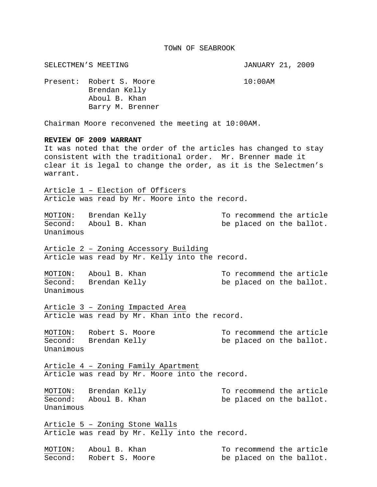## TOWN OF SEABROOK

SELECTMEN'S MEETING **SELECTMEN'S** SELECTMEN'S MEETING Present: Robert S. Moore 10:00AM Brendan Kelly Aboul B. Khan Barry M. Brenner Chairman Moore reconvened the meeting at 10:00AM. **REVIEW OF 2009 WARRANT**  It was noted that the order of the articles has changed to stay consistent with the traditional order. Mr. Brenner made it clear it is legal to change the order, as it is the Selectmen's warrant. Article 1 – Election of Officers Article was read by Mr. Moore into the record. MOTION: Brendan Kelly To recommend the article  $\overline{\text{Second}}$ : Aboul B. Khan be placed on the ballot. Unanimous Article 2 – Zoning Accessory Building Article was read by Mr. Kelly into the record. MOTION: Aboul B. Khan To recommend the article Second: Brendan Kelly be placed on the ballot. Unanimous Article 3 – Zoning Impacted Area Article was read by Mr. Khan into the record. MOTION: Robert S. Moore To recommend the article Second: Brendan Kelly be placed on the ballot. Unanimous Article 4 – Zoning Family Apartment Article was read by Mr. Moore into the record. MOTION: Brendan Kelly To recommend the article Second: Aboul B. Khan be placed on the ballot. Unanimous Article 5 – Zoning Stone Walls Article was read by Mr. Kelly into the record. MOTION: Aboul B. Khan To recommend the article Second: Robert S. Moore be placed on the ballot.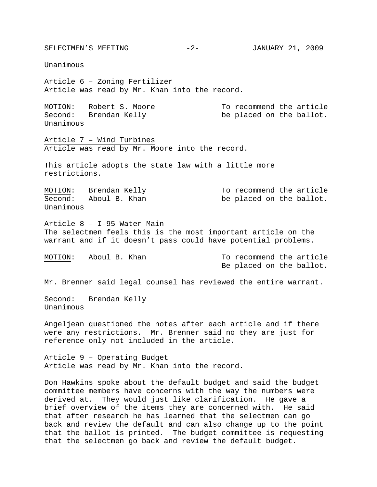SELECTMEN'S MEETING  $-2-$  JANUARY 21, 2009

Unanimous

Article 6 – Zoning Fertilizer Article was read by Mr. Khan into the record.

MOTION: Robert S. Moore To recommend the article Second: Brendan Kelly be placed on the ballot. Unanimous

Article 7 – Wind Turbines Article was read by Mr. Moore into the record.

This article adopts the state law with a little more restrictions.

MOTION: Brendan Kelly To recommend the article Second: Aboul B. Khan be placed on the ballot. Unanimous

Article 8 – I-95 Water Main The selectmen feels this is the most important article on the warrant and if it doesn't pass could have potential problems.

MOTION: Aboul B. Khan To recommend the article Be placed on the ballot.

Mr. Brenner said legal counsel has reviewed the entire warrant.

Second: Brendan Kelly Unanimous

Angeljean questioned the notes after each article and if there were any restrictions. Mr. Brenner said no they are just for reference only not included in the article.

Article 9 – Operating Budget Article was read by Mr. Khan into the record.

Don Hawkins spoke about the default budget and said the budget committee members have concerns with the way the numbers were derived at. They would just like clarification. He gave a brief overview of the items they are concerned with. He said that after research he has learned that the selectmen can go back and review the default and can also change up to the point that the ballot is printed. The budget committee is requesting that the selectmen go back and review the default budget.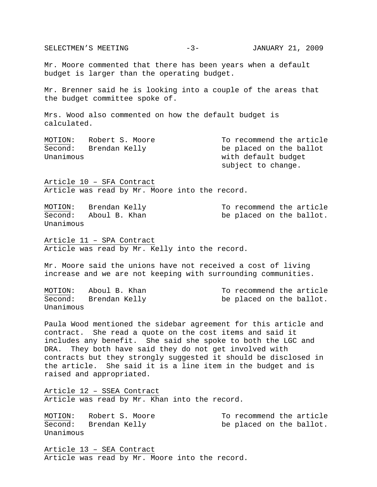SELECTMEN'S MEETING -3- JANUARY 21, 2009 Mr. Moore commented that there has been years when a default budget is larger than the operating budget. Mr. Brenner said he is looking into a couple of the areas that the budget committee spoke of. Mrs. Wood also commented on how the default budget is calculated. MOTION: Robert S. Moore To recommend the article Second: Brendan Kelly be placed on the ballot Unanimous with default budget subject to change. Article 10 – SFA Contract Article was read by Mr. Moore into the record. MOTION: Brendan Kelly To recommend the article Second: Aboul B. Khan be placed on the ballot. Unanimous Article 11 – SPA Contract Article was read by Mr. Kelly into the record. Mr. Moore said the unions have not received a cost of living increase and we are not keeping with surrounding communities. MOTION: Aboul B. Khan To recommend the article Second: Brendan Kelly be placed on the ballot. Unanimous Paula Wood mentioned the sidebar agreement for this article and contract. She read a quote on the cost items and said it includes any benefit. She said she spoke to both the LGC and DRA. They both have said they do not get involved with contracts but they strongly suggested it should be disclosed in the article. She said it is a line item in the budget and is raised and appropriated. Article 12 – SSEA Contract Article was read by Mr. Khan into the record. MOTION: Robert S. Moore To recommend the article Second: Brendan Kelly be placed on the ballot.

Article 13 – SEA Contract Article was read by Mr. Moore into the record.

Unanimous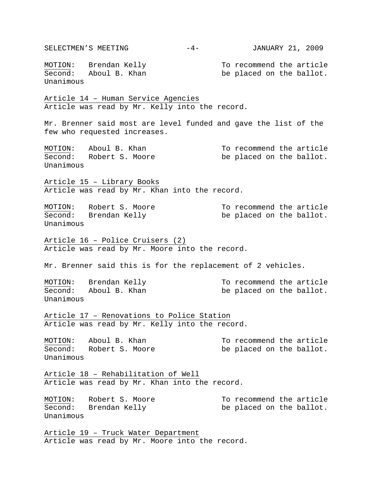SELECTMEN'S MEETING  $-4-$  JANUARY 21, 2009 MOTION: Brendan Kelly To recommend the article  $\overline{\text{Second}}$ : Aboul B. Khan be placed on the ballot. Unanimous Article 14 – Human Service Agencies Article was read by Mr. Kelly into the record. Mr. Brenner said most are level funded and gave the list of the few who requested increases. MOTION: Aboul B. Khan To recommend the article Second: Robert S. Moore be placed on the ballot. Unanimous Article 15 – Library Books Article was read by Mr. Khan into the record. MOTION: Robert S. Moore To recommend the article Second: Brendan Kelly be placed on the ballot. Unanimous Article 16 – Police Cruisers (2) Article was read by Mr. Moore into the record. Mr. Brenner said this is for the replacement of 2 vehicles. MOTION: Brendan Kelly To recommend the article Second: Aboul B. Khan be placed on the ballot. Unanimous Article 17 – Renovations to Police Station Article was read by Mr. Kelly into the record. MOTION: Aboul B. Khan To recommend the article Second: Robert S. Moore be placed on the ballot. Unanimous Article 18 – Rehabilitation of Well Article was read by Mr. Khan into the record. MOTION: Robert S. Moore To recommend the article Second: Brendan Kelly be placed on the ballot. Unanimous Article 19 – Truck Water Department Article was read by Mr. Moore into the record.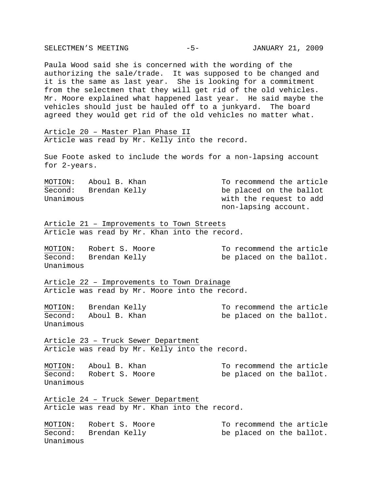| Paula Wood said she is concerned with the wording of the<br>authorizing the sale/trade. It was supposed to be changed and<br>it is the same as last year. She is looking for a commitment<br>from the selectmen that they will get rid of the old vehicles.<br>Mr. Moore explained what happened last year. He said maybe the<br>vehicles should just be hauled off to a junkyard. The board<br>agreed they would get rid of the old vehicles no matter what. |                                                                                                        |  |  |  |  |  |  |
|---------------------------------------------------------------------------------------------------------------------------------------------------------------------------------------------------------------------------------------------------------------------------------------------------------------------------------------------------------------------------------------------------------------------------------------------------------------|--------------------------------------------------------------------------------------------------------|--|--|--|--|--|--|
| Article 20 - Master Plan Phase II<br>Article was read by Mr. Kelly into the record.                                                                                                                                                                                                                                                                                                                                                                           |                                                                                                        |  |  |  |  |  |  |
| Sue Foote asked to include the words for a non-lapsing account<br>for 2-years.                                                                                                                                                                                                                                                                                                                                                                                |                                                                                                        |  |  |  |  |  |  |
| MOTION: Aboul B. Khan<br>Second: Brendan Kelly<br>Unanimous                                                                                                                                                                                                                                                                                                                                                                                                   | To recommend the article<br>be placed on the ballot<br>with the request to add<br>non-lapsing account. |  |  |  |  |  |  |
| Article 21 - Improvements to Town Streets<br>Article was read by Mr. Khan into the record.                                                                                                                                                                                                                                                                                                                                                                    |                                                                                                        |  |  |  |  |  |  |
| MOTION: Robert S. Moore<br>Second: Brendan Kelly<br>Unanimous                                                                                                                                                                                                                                                                                                                                                                                                 | To recommend the article<br>be placed on the ballot.                                                   |  |  |  |  |  |  |
| Article 22 - Improvements to Town Drainage<br>Article was read by Mr. Moore into the record.                                                                                                                                                                                                                                                                                                                                                                  |                                                                                                        |  |  |  |  |  |  |
| MOTION: Brendan Kelly<br>Second: Aboul B. Khan<br>Unanimous                                                                                                                                                                                                                                                                                                                                                                                                   | To recommend the article<br>be placed on the ballot.                                                   |  |  |  |  |  |  |
| Article 23 - Truck Sewer Department<br>Article was read by Mr. Kelly into the record.                                                                                                                                                                                                                                                                                                                                                                         |                                                                                                        |  |  |  |  |  |  |
| Aboul B. Khan<br>MOTION:<br>Second: Robert S. Moore<br>Unanimous                                                                                                                                                                                                                                                                                                                                                                                              | To recommend the article<br>be placed on the ballot.                                                   |  |  |  |  |  |  |
| Article 24 - Truck Sewer Department<br>Article was read by Mr. Khan into the record.                                                                                                                                                                                                                                                                                                                                                                          |                                                                                                        |  |  |  |  |  |  |
| Robert S. Moore<br>MOTION:<br>Second:<br>Brendan Kelly<br>Unanimous                                                                                                                                                                                                                                                                                                                                                                                           | To recommend the article<br>be placed on the ballot.                                                   |  |  |  |  |  |  |

SELECTMEN'S MEETING -5- JANUARY 21, 2009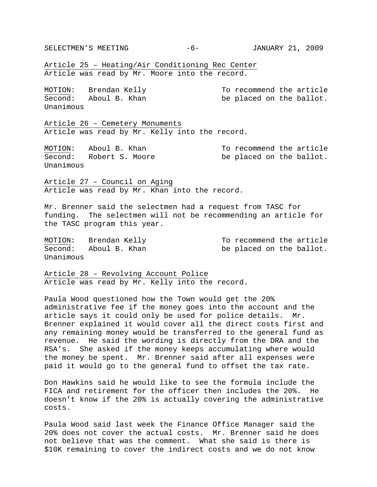SELECTMEN'S MEETING  $-6$ - JANUARY 21, 2009

Article 25 – Heating/Air Conditioning Rec Center Article was read by Mr. Moore into the record.

| MOTION:   | Brendan Kelly |  |  |  |  | To recommend the article |  |
|-----------|---------------|--|--|--|--|--------------------------|--|
| Second:   | Aboul B. Khan |  |  |  |  | be placed on the ballot. |  |
| Unanimous |               |  |  |  |  |                          |  |

Article 26 – Cemetery Monuments Article was read by Mr. Kelly into the record.

Second: Robert S. Moore be placed on the ballot. Unanimous

MOTION: Aboul B. Khan To recommend the article

Article 27 – Council on Aging Article was read by Mr. Khan into the record.

Mr. Brenner said the selectmen had a request from TASC for funding. The selectmen will not be recommending an article for the TASC program this year.

Unanimous

MOTION: Brendan Kelly To recommend the article Second: Aboul B. Khan be placed on the ballot.

Article 28 – Revolving Account Police Article was read by Mr. Kelly into the record.

Paula Wood questioned how the Town would get the 20% administrative fee if the money goes into the account and the article says it could only be used for police details. Mr. Brenner explained it would cover all the direct costs first and any remaining money would be transferred to the general fund as revenue. He said the wording is directly from the DRA and the RSA's. She asked if the money keeps accumulating where would the money be spent. Mr. Brenner said after all expenses were paid it would go to the general fund to offset the tax rate.

Don Hawkins said he would like to see the formula include the FICA and retirement for the officer then includes the 20%. He doesn't know if the 20% is actually covering the administrative costs.

Paula Wood said last week the Finance Office Manager said the 20% does not cover the actual costs. Mr. Brenner said he does not believe that was the comment. What she said is there is \$10K remaining to cover the indirect costs and we do not know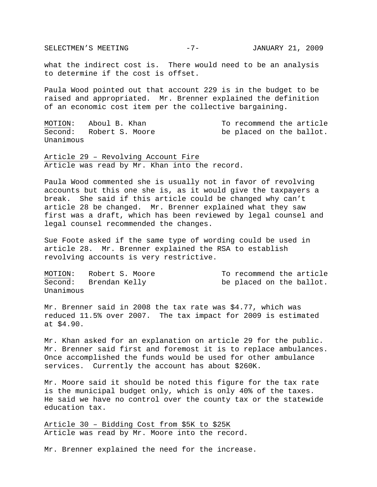SELECTMEN'S MEETING -7- JANUARY 21, 2009

what the indirect cost is. There would need to be an analysis to determine if the cost is offset.

Paula Wood pointed out that account 229 is in the budget to be raised and appropriated. Mr. Brenner explained the definition of an economic cost item per the collective bargaining.

MOTION: Aboul B. Khan To recommend the article Second: Robert S. Moore be placed on the ballot. Unanimous

Article 29 – Revolving Account Fire Article was read by Mr. Khan into the record.

Paula Wood commented she is usually not in favor of revolving accounts but this one she is, as it would give the taxpayers a break. She said if this article could be changed why can't article 28 be changed. Mr. Brenner explained what they saw first was a draft, which has been reviewed by legal counsel and legal counsel recommended the changes.

Sue Foote asked if the same type of wording could be used in article 28. Mr. Brenner explained the RSA to establish revolving accounts is very restrictive.

| MOTION:   | Robert S. Moore |  | To recommend the article |  |                          |  |
|-----------|-----------------|--|--------------------------|--|--------------------------|--|
| Second:   | Brendan Kelly   |  |                          |  | be placed on the ballot. |  |
| Unanimous |                 |  |                          |  |                          |  |

Mr. Brenner said in 2008 the tax rate was \$4.77, which was reduced 11.5% over 2007. The tax impact for 2009 is estimated at \$4.90.

Mr. Khan asked for an explanation on article 29 for the public. Mr. Brenner said first and foremost it is to replace ambulances. Once accomplished the funds would be used for other ambulance services. Currently the account has about \$260K.

Mr. Moore said it should be noted this figure for the tax rate is the municipal budget only, which is only 40% of the taxes. He said we have no control over the county tax or the statewide education tax.

Article 30 – Bidding Cost from \$5K to \$25K Article was read by Mr. Moore into the record.

Mr. Brenner explained the need for the increase.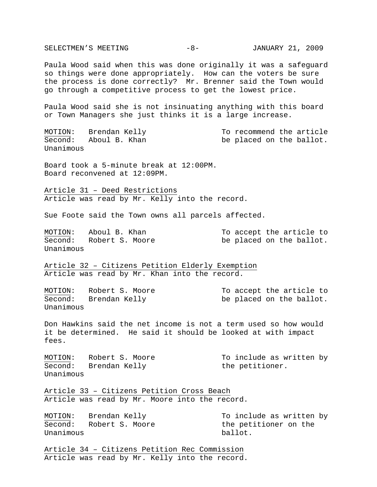SELECTMEN'S MEETING  $-8-$  JANUARY 21, 2009 Paula Wood said when this was done originally it was a safeguard so things were done appropriately. How can the voters be sure the process is done correctly? Mr. Brenner said the Town would go through a competitive process to get the lowest price. Paula Wood said she is not insinuating anything with this board or Town Managers she just thinks it is a large increase. MOTION: Brendan Kelly To recommend the article Second: Aboul B. Khan be placed on the ballot. Unanimous Board took a 5-minute break at 12:00PM. Board reconvened at 12:09PM. Article 31 – Deed Restrictions Article was read by Mr. Kelly into the record. Sue Foote said the Town owns all parcels affected. MOTION: Aboul B. Khan To accept the article to Second: Robert S. Moore be placed on the ballot. Unanimous Article 32 – Citizens Petition Elderly Exemption Article was read by Mr. Khan into the record. MOTION: Robert S. Moore To accept the article to Second: Brendan Kelly be placed on the ballot. Unanimous Don Hawkins said the net income is not a term used so how would it be determined. He said it should be looked at with impact fees. MOTION: Robert S. Moore To include as written by Second: Brendan Kelly the petitioner. Unanimous Article 33 – Citizens Petition Cross Beach Article was read by Mr. Moore into the record. MOTION: Brendan Kelly To include as written by Second: Robert S. Moore the petitioner on the Unanimous ballot. Article 34 – Citizens Petition Rec Commission Article was read by Mr. Kelly into the record.